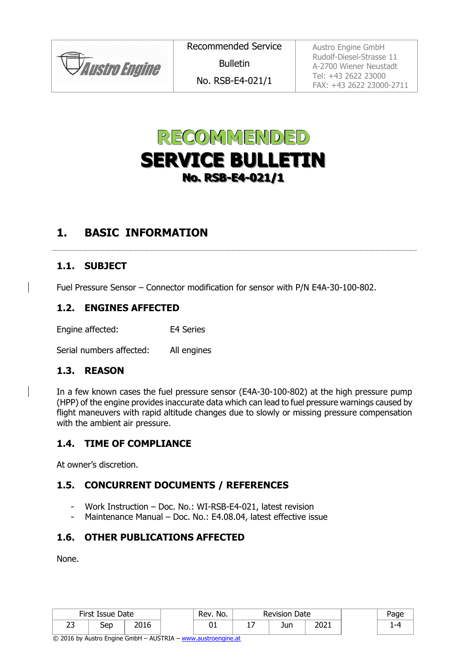*JAustro Engine* 

Austro Engine GmbH Rudolf-Diesel-Strasse 11 A-2700 Wiener Neustadt Tel: +43 2622 23000 FAX: +43 2622 23000-2711



# **1. BASIC INFORMATION**

#### **1.1. SUBJECT**

Fuel Pressure Sensor – Connector modification for sensor with P/N E4A-30-100-802.

#### **1.2. ENGINES AFFECTED**

Engine affected: E4 Series

Serial numbers affected: All engines

#### **1.3. REASON**

In a few known cases the fuel pressure sensor (E4A-30-100-802) at the high pressure pump (HPP) of the engine provides inaccurate data which can lead to fuel pressure warnings caused by flight maneuvers with rapid altitude changes due to slowly or missing pressure compensation with the ambient air pressure.

#### **1.4. TIME OF COMPLIANCE**

At owner's discretion.

## **1.5. CONCURRENT DOCUMENTS / REFERENCES**

- Work Instruction Doc. No.: WI-RSB-E4-021, latest revision
- Maintenance Manual Doc. No.: E4.08.04, latest effective issue

## **1.6. OTHER PUBLICATIONS AFFECTED**

None.

| First Issue Date |     |      | Rev. No. | Date<br>Revision |     |      | aae |
|------------------|-----|------|----------|------------------|-----|------|-----|
| $\sim$<br>້      | Sep | 201c | υ⊥       | - -              | Jun | 2021 |     |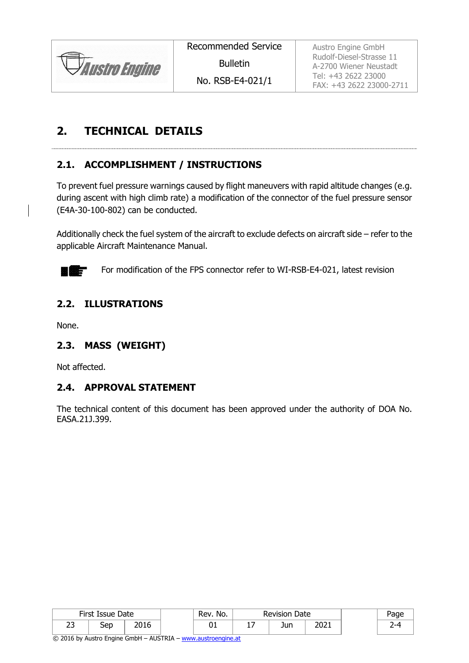

Recommended Service

Bulletin

No. RSB-E4-021/1

Austro Engine GmbH Rudolf-Diesel-Strasse 11 A-2700 Wiener Neustadt Tel: +43 2622 23000 FAX: +43 2622 23000-2711

# **2. TECHNICAL DETAILS**

# <span id="page-1-0"></span>**2.1. ACCOMPLISHMENT / INSTRUCTIONS**

To prevent fuel pressure warnings caused by flight maneuvers with rapid altitude changes (e.g. during ascent with high climb rate) a modification of the connector of the fuel pressure sensor (E4A-30-100-802) can be conducted.

Additionally check the fuel system of the aircraft to exclude defects on aircraft side – refer to the applicable Aircraft Maintenance Manual.



For modification of the FPS connector refer to WI-RSB-E4-021, latest revision

## **2.2. ILLUSTRATIONS**

None.

## **2.3. MASS (WEIGHT)**

Not affected.

## **2.4. APPROVAL STATEMENT**

The technical content of this document has been approved under the authority of DOA No. EASA.21J.399.

| First Issue Date |     |       | Rev. No. | <b>Revision Date</b> |     |      | Page |
|------------------|-----|-------|----------|----------------------|-----|------|------|
| --<br>້          | Sep | ากฯ ( | ◡∸       | - -                  | Jun | 2021 |      |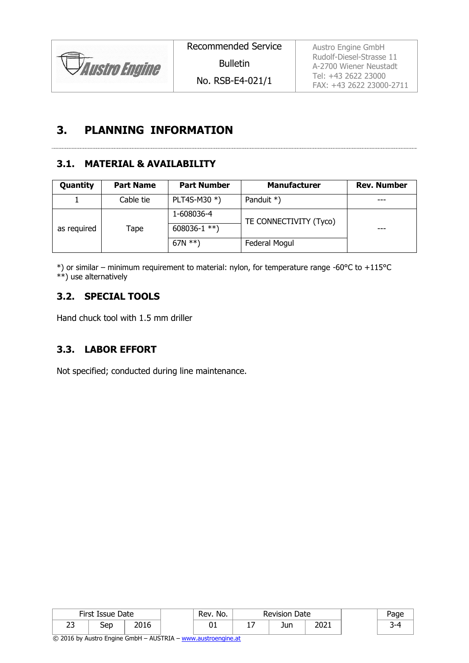

Recommended Service

Bulletin

No. RSB-E4-021/1

Austro Engine GmbH Rudolf-Diesel-Strasse 11 A-2700 Wiener Neustadt Tel: +43 2622 23000 FAX: +43 2622 23000-2711

# **3. PLANNING INFORMATION**

# **3.1. MATERIAL & AVAILABILITY**

| Quantity    | <b>Part Name</b> | <b>Part Number</b> | <b>Manufacturer</b>    | <b>Rev. Number</b> |  |
|-------------|------------------|--------------------|------------------------|--------------------|--|
|             | Cable tie        | PLT4S-M30 *)       | Panduit $*)$           | ---                |  |
|             |                  | 1-608036-4         | TE CONNECTIVITY (Tyco) |                    |  |
| as required | Tape             | 608036-1 $**$ )    |                        | ---                |  |
|             |                  | 67N $**$ )         | Federal Mogul          |                    |  |

\*) or similar – minimum requirement to material: nylon, for temperature range -60°C to +115°C \*\*) use alternatively

## **3.2. SPECIAL TOOLS**

Hand chuck tool with 1.5 mm driller

## **3.3. LABOR EFFORT**

Not specified; conducted during line maintenance.

| First Issue Date |     | Rev. No.            | <b>Revision Date</b> |     |     |      |  |  | Page |
|------------------|-----|---------------------|----------------------|-----|-----|------|--|--|------|
| ~~<br>رے         | Sep | <b>DO16</b><br>2016 | υı                   | . . | Jun | 2021 |  |  |      |